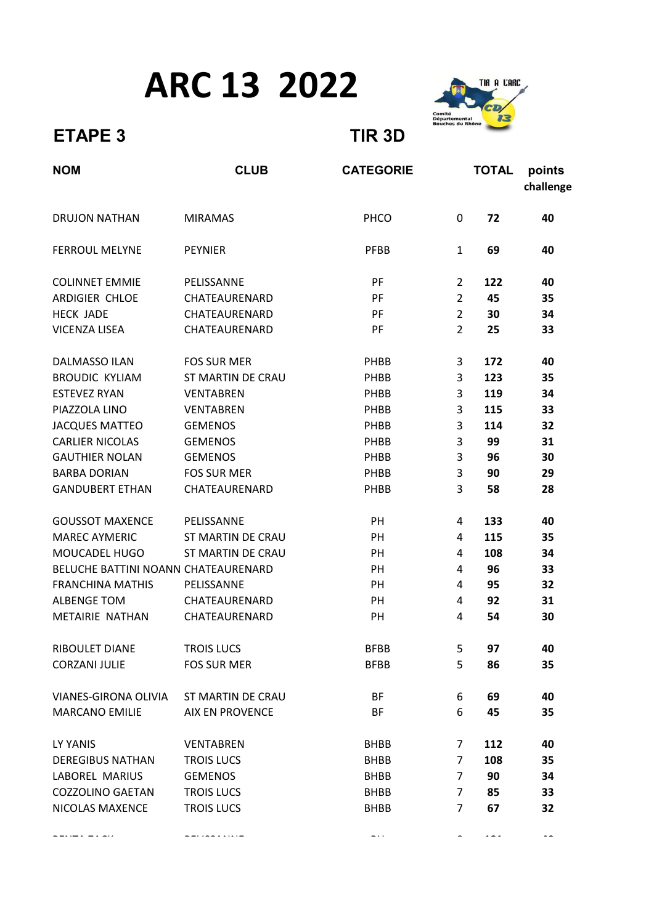## ARC 13 2022



## ETAPE 3 TIR 3D

| <b>NOM</b>                          | <b>CLUB</b>              | <b>CATEGORIE</b> |                | <b>TOTAL</b> | points<br>challenge |
|-------------------------------------|--------------------------|------------------|----------------|--------------|---------------------|
| <b>DRUJON NATHAN</b>                | <b>MIRAMAS</b>           | PHCO             | 0              | 72           | 40                  |
| <b>FERROUL MELYNE</b>               | <b>PEYNIER</b>           | <b>PFBB</b>      | $\mathbf{1}$   | 69           | 40                  |
| <b>COLINNET EMMIE</b>               | PELISSANNE               | PF               | $\overline{2}$ | 122          | 40                  |
| ARDIGIER CHLOE                      | CHATEAURENARD            | PF               | $\overline{2}$ | 45           | 35                  |
| <b>HECK JADE</b>                    | CHATEAURENARD            | PF               | $\overline{2}$ | 30           | 34                  |
| <b>VICENZA LISEA</b>                | CHATEAURENARD            | PF               | $\overline{2}$ | 25           | 33                  |
| <b>DALMASSO ILAN</b>                | <b>FOS SUR MER</b>       | PHBB             | 3              | 172          | 40                  |
| <b>BROUDIC KYLIAM</b>               | <b>ST MARTIN DE CRAU</b> | PHBB             | 3              | 123          | 35                  |
| <b>ESTEVEZ RYAN</b>                 | <b>VENTABREN</b>         | PHBB             | 3              | 119          | 34                  |
| PIAZZOLA LINO                       | <b>VENTABREN</b>         | PHBB             | 3              | 115          | 33                  |
| <b>JACQUES MATTEO</b>               | <b>GEMENOS</b>           | PHBB             | 3              | 114          | 32                  |
| <b>CARLIER NICOLAS</b>              | <b>GEMENOS</b>           | PHBB             | 3              | 99           | 31                  |
| <b>GAUTHIER NOLAN</b>               | <b>GEMENOS</b>           | PHBB             | 3              | 96           | 30                  |
| <b>BARBA DORIAN</b>                 | <b>FOS SUR MER</b>       | PHBB             | 3              | 90           | 29                  |
| <b>GANDUBERT ETHAN</b>              | CHATEAURENARD            | PHBB             | 3              | 58           | 28                  |
| <b>GOUSSOT MAXENCE</b>              | PELISSANNE               | PH               | 4              | 133          | 40                  |
| <b>MAREC AYMERIC</b>                | <b>ST MARTIN DE CRAU</b> | PH               | 4              | 115          | 35                  |
| MOUCADEL HUGO                       | <b>ST MARTIN DE CRAU</b> | PH               | 4              | 108          | 34                  |
| BELUCHE BATTINI NOANN CHATEAURENARD |                          | PH               | 4              | 96           | 33                  |
| <b>FRANCHINA MATHIS</b>             | PELISSANNE               | PH               | 4              | 95           | 32                  |
| <b>ALBENGE TOM</b>                  | CHATEAURENARD            | PH               | 4              | 92           | 31                  |
| METAIRIE NATHAN                     | CHATEAURENARD            | PH               | 4              | 54           | 30                  |
| <b>RIBOULET DIANE</b>               | <b>TROIS LUCS</b>        | <b>BFBB</b>      | 5              | 97           | 40                  |
| <b>CORZANI JULIE</b>                | <b>FOS SUR MER</b>       | <b>BFBB</b>      | 5              | 86           | 35                  |
| VIANES-GIRONA OLIVIA                | ST MARTIN DE CRAU        | BF               | 6              | 69           | 40                  |
| <b>MARCANO EMILIE</b>               | <b>AIX EN PROVENCE</b>   | BF               | 6              | 45           | 35                  |
| LY YANIS                            | <b>VENTABREN</b>         | <b>BHBB</b>      | 7              | 112          | 40                  |
| <b>DEREGIBUS NATHAN</b>             | <b>TROIS LUCS</b>        | <b>BHBB</b>      | $\overline{7}$ | 108          | 35                  |
| LABOREL MARIUS                      | <b>GEMENOS</b>           | <b>BHBB</b>      | 7              | 90           | 34                  |
| <b>COZZOLINO GAETAN</b>             | <b>TROIS LUCS</b>        | <b>BHBB</b>      | 7              | 85           | 33                  |
| NICOLAS MAXENCE                     | <b>TROIS LUCS</b>        | <b>BHBB</b>      | $\overline{7}$ | 67           | 32                  |

PENTA ZACK PELISSANNE BH 8 181 40